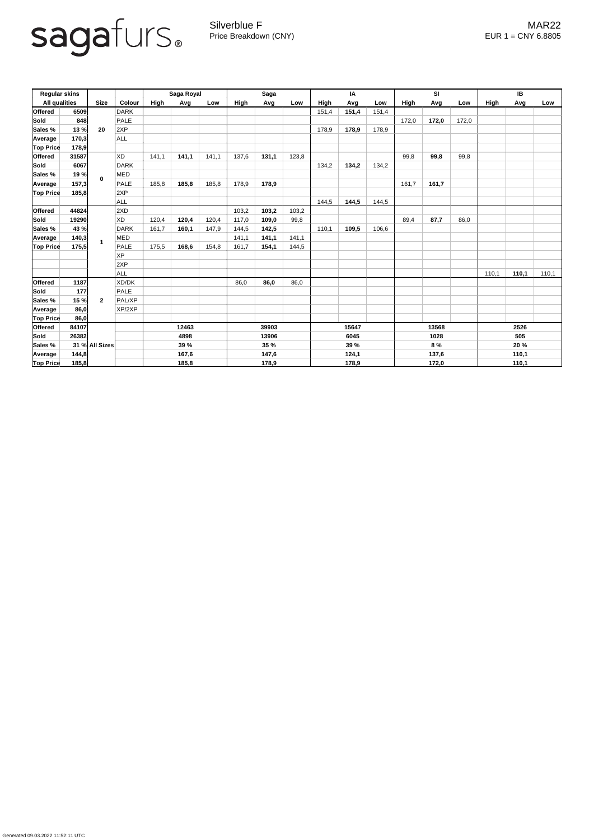

Silverblue F **MAR22** Price Breakdown (CNY) EUR 1 = CNY 6.8805

Generated 09.03.2022 11:52:11 UTC

| <b>Regular skins</b> |       |                |               | Saga Royal |       |       | <b>Saga</b> |       |       | IA          |       |       | SI          |       |       | IB          |       |       |
|----------------------|-------|----------------|---------------|------------|-------|-------|-------------|-------|-------|-------------|-------|-------|-------------|-------|-------|-------------|-------|-------|
| <b>All qualities</b> |       | <b>Size</b>    | <b>Colour</b> | High       | Avg   | Low   | High        | Avg   | Low   | <b>High</b> | Avg   | Low   | <b>High</b> | Avg   | Low   | <b>High</b> | Avg   | Low   |
| <b>Offered</b>       | 6509  |                | <b>DARK</b>   |            |       |       |             |       |       | 151,4       | 151,4 | 151,4 |             |       |       |             |       |       |
| Sold                 | 848   | 20             | <b>PALE</b>   |            |       |       |             |       |       |             |       |       | 172,0       | 172,0 | 172,0 |             |       |       |
| Sales %              | 13 %  |                | 2XP           |            |       |       |             |       |       | 178,9       | 178,9 | 178,9 |             |       |       |             |       |       |
| Average              | 170,3 |                | ALL           |            |       |       |             |       |       |             |       |       |             |       |       |             |       |       |
| <b>Top Price</b>     | 178,9 |                |               |            |       |       |             |       |       |             |       |       |             |       |       |             |       |       |
| <b>Offered</b>       | 31587 |                | XD            | 141,1      | 141,1 | 141,1 | 137,6       | 131,1 | 123,8 |             |       |       | 99,8        | 99,8  | 99,8  |             |       |       |
| <b>Sold</b>          | 6067  | $\mathbf 0$    | <b>DARK</b>   |            |       |       |             |       |       | 134,2       | 134,2 | 134,2 |             |       |       |             |       |       |
| Sales %              | 19 %  |                | MED           |            |       |       |             |       |       |             |       |       |             |       |       |             |       |       |
| <b>Average</b>       | 157,3 |                | PALE          | 185,8      | 185,8 | 185,8 | 178,9       | 178,9 |       |             |       |       | 161,7       | 161,7 |       |             |       |       |
| <b>Top Price</b>     | 185,8 |                | 2XP           |            |       |       |             |       |       |             |       |       |             |       |       |             |       |       |
|                      |       |                | ALL           |            |       |       |             |       |       | 144,5       | 144,5 | 144,5 |             |       |       |             |       |       |
| <b>Offered</b>       | 44824 |                | 2XD           |            |       |       | 103,2       | 103,2 | 103,2 |             |       |       |             |       |       |             |       |       |
| <b>Sold</b>          | 19290 |                | <b>XD</b>     | 120,4      | 120,4 | 120,4 | 117,0       | 109,0 | 99,8  |             |       |       | 89,4        | 87,7  | 86,0  |             |       |       |
| Sales %              | 43 %  |                | <b>DARK</b>   | 161,7      | 160,1 | 147,9 | 144,5       | 142,5 |       | 110,1       | 109,5 | 106,6 |             |       |       |             |       |       |
| <b>Average</b>       | 140,3 |                | MED           |            |       |       | 141,1       | 141,1 | 141,1 |             |       |       |             |       |       |             |       |       |
| <b>Top Price</b>     | 175,5 |                | PALE          | 175,5      | 168,6 | 154,8 | 161,7       | 154,1 | 144,5 |             |       |       |             |       |       |             |       |       |
|                      |       |                | <b>XP</b>     |            |       |       |             |       |       |             |       |       |             |       |       |             |       |       |
|                      |       |                | 2XP           |            |       |       |             |       |       |             |       |       |             |       |       |             |       |       |
|                      |       |                | ALL           |            |       |       |             |       |       |             |       |       |             |       |       | 110,1       | 110,1 | 110,1 |
| <b>Offered</b>       | 1187  |                | XD/DK         |            |       |       | 86,0        | 86,0  | 86,0  |             |       |       |             |       |       |             |       |       |
| <b>Sold</b>          | 177   |                | <b>PALE</b>   |            |       |       |             |       |       |             |       |       |             |       |       |             |       |       |
| Sales %              | 15 %  | $\mathbf{2}$   | PAL/XP        |            |       |       |             |       |       |             |       |       |             |       |       |             |       |       |
| Average              | 86,0  |                | XP/2XP        |            |       |       |             |       |       |             |       |       |             |       |       |             |       |       |
| <b>Top Price</b>     | 86,0  |                |               |            |       |       |             |       |       |             |       |       |             |       |       |             |       |       |
| <b>Offered</b>       | 84107 |                |               | 12463      |       |       | 39903       |       |       | 15647       |       |       | 13568       |       |       | 2526        |       |       |
| <b>Sold</b>          | 26382 |                |               | 4898       |       |       | 13906       |       |       | 6045        |       | 1028  |             |       | 505   |             |       |       |
| <b>Sales %</b>       |       | 31 % All Sizes |               | 39 %       |       |       | <b>35 %</b> |       |       | <b>39 %</b> |       |       | 8 %         |       |       | 20 %        |       |       |
| Average              | 144,8 |                |               | 167,6      |       |       | 147,6       |       |       | 124,1       |       | 137,6 |             |       | 110,1 |             |       |       |
| <b>Top Price</b>     | 185,8 |                |               |            | 185,8 |       |             | 178,9 |       |             | 178,9 |       |             | 172,0 |       |             | 110,1 |       |